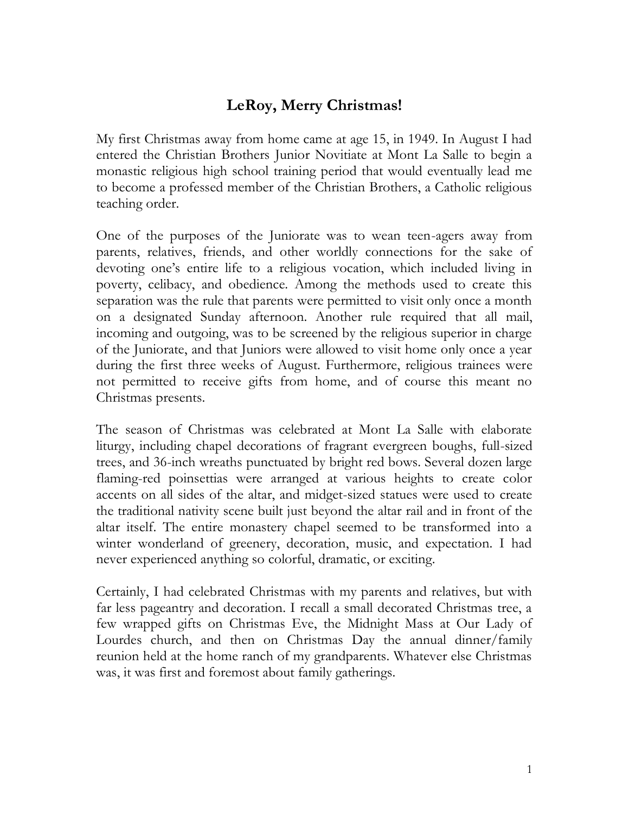## **LeRoy, Merry Christmas!**

My first Christmas away from home came at age 15, in 1949. In August I had entered the Christian Brothers Junior Novitiate at Mont La Salle to begin a monastic religious high school training period that would eventually lead me to become a professed member of the Christian Brothers, a Catholic religious teaching order.

One of the purposes of the Juniorate was to wean teen-agers away from parents, relatives, friends, and other worldly connections for the sake of devoting one's entire life to a religious vocation, which included living in poverty, celibacy, and obedience. Among the methods used to create this separation was the rule that parents were permitted to visit only once a month on a designated Sunday afternoon. Another rule required that all mail, incoming and outgoing, was to be screened by the religious superior in charge of the Juniorate, and that Juniors were allowed to visit home only once a year during the first three weeks of August. Furthermore, religious trainees were not permitted to receive gifts from home, and of course this meant no Christmas presents.

The season of Christmas was celebrated at Mont La Salle with elaborate liturgy, including chapel decorations of fragrant evergreen boughs, full-sized trees, and 36-inch wreaths punctuated by bright red bows. Several dozen large flaming-red poinsettias were arranged at various heights to create color accents on all sides of the altar, and midget-sized statues were used to create the traditional nativity scene built just beyond the altar rail and in front of the altar itself. The entire monastery chapel seemed to be transformed into a winter wonderland of greenery, decoration, music, and expectation. I had never experienced anything so colorful, dramatic, or exciting.

Certainly, I had celebrated Christmas with my parents and relatives, but with far less pageantry and decoration. I recall a small decorated Christmas tree, a few wrapped gifts on Christmas Eve, the Midnight Mass at Our Lady of Lourdes church, and then on Christmas Day the annual dinner/family reunion held at the home ranch of my grandparents. Whatever else Christmas was, it was first and foremost about family gatherings.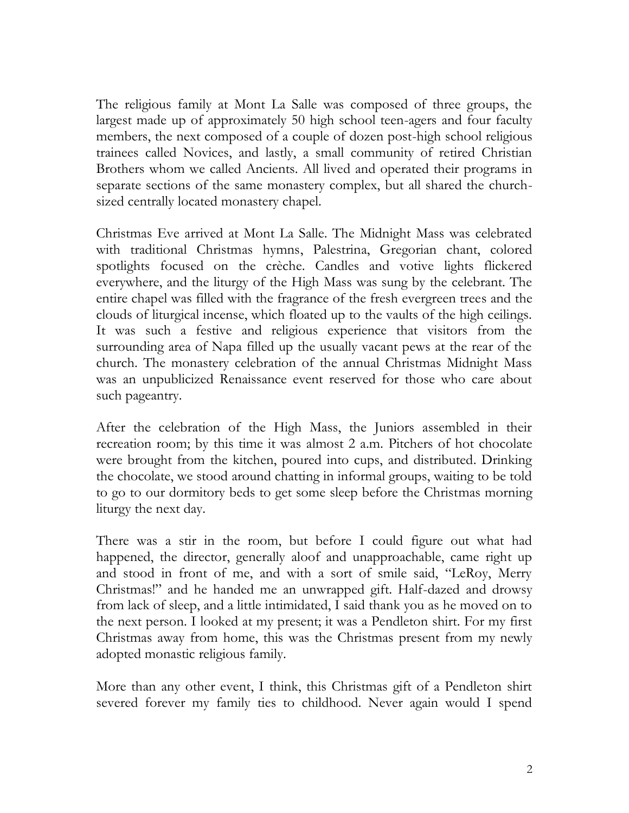The religious family at Mont La Salle was composed of three groups, the largest made up of approximately 50 high school teen-agers and four faculty members, the next composed of a couple of dozen post-high school religious trainees called Novices, and lastly, a small community of retired Christian Brothers whom we called Ancients. All lived and operated their programs in separate sections of the same monastery complex, but all shared the churchsized centrally located monastery chapel.

Christmas Eve arrived at Mont La Salle. The Midnight Mass was celebrated with traditional Christmas hymns, Palestrina, Gregorian chant, colored spotlights focused on the crèche. Candles and votive lights flickered everywhere, and the liturgy of the High Mass was sung by the celebrant. The entire chapel was filled with the fragrance of the fresh evergreen trees and the clouds of liturgical incense, which floated up to the vaults of the high ceilings. It was such a festive and religious experience that visitors from the surrounding area of Napa filled up the usually vacant pews at the rear of the church. The monastery celebration of the annual Christmas Midnight Mass was an unpublicized Renaissance event reserved for those who care about such pageantry.

After the celebration of the High Mass, the Juniors assembled in their recreation room; by this time it was almost 2 a.m. Pitchers of hot chocolate were brought from the kitchen, poured into cups, and distributed. Drinking the chocolate, we stood around chatting in informal groups, waiting to be told to go to our dormitory beds to get some sleep before the Christmas morning liturgy the next day.

There was a stir in the room, but before I could figure out what had happened, the director, generally aloof and unapproachable, came right up and stood in front of me, and with a sort of smile said, "LeRoy, Merry Christmas!" and he handed me an unwrapped gift. Half-dazed and drowsy from lack of sleep, and a little intimidated, I said thank you as he moved on to the next person. I looked at my present; it was a Pendleton shirt. For my first Christmas away from home, this was the Christmas present from my newly adopted monastic religious family.

More than any other event, I think, this Christmas gift of a Pendleton shirt severed forever my family ties to childhood. Never again would I spend